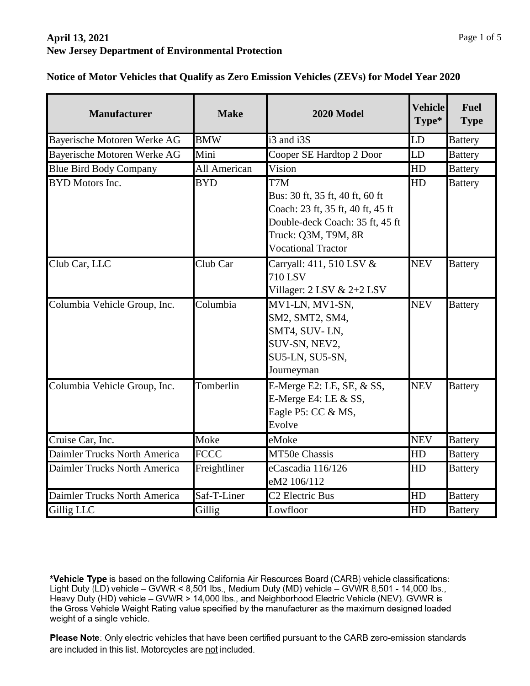## **April 13, 2021 New Jersey Department of Environmental Protection**

| <b>Manufacturer</b>           | <b>Make</b>  | 2020 Model                                                                                                                                                         | <b>Vehicle</b><br>Type* | Fuel<br><b>Type</b> |
|-------------------------------|--------------|--------------------------------------------------------------------------------------------------------------------------------------------------------------------|-------------------------|---------------------|
| Bayerische Motoren Werke AG   | <b>BMW</b>   | i3 and i3S                                                                                                                                                         | LD                      | <b>Battery</b>      |
| Bayerische Motoren Werke AG   | Mini         | Cooper SE Hardtop 2 Door                                                                                                                                           | LD                      | <b>Battery</b>      |
| <b>Blue Bird Body Company</b> | All American | Vision                                                                                                                                                             | HD                      | <b>Battery</b>      |
| <b>BYD</b> Motors Inc.        | <b>BYD</b>   | T7M<br>Bus: 30 ft, 35 ft, 40 ft, 60 ft<br>Coach: 23 ft, 35 ft, 40 ft, 45 ft<br>Double-deck Coach: 35 ft, 45 ft<br>Truck: Q3M, T9M, 8R<br><b>Vocational Tractor</b> | HD                      | <b>Battery</b>      |
| Club Car, LLC                 | Club Car     | Carryall: 411, 510 LSV &<br>710 LSV<br>Villager: $2$ LSV $\& 2+2$ LSV                                                                                              | <b>NEV</b>              | <b>Battery</b>      |
| Columbia Vehicle Group, Inc.  | Columbia     | MV1-LN, MV1-SN,<br>SM2, SMT2, SM4,<br>SMT4, SUV-LN,<br>SUV-SN, NEV2,<br>SU5-LN, SU5-SN,<br>Journeyman                                                              | <b>NEV</b>              | <b>Battery</b>      |
| Columbia Vehicle Group, Inc.  | Tomberlin    | E-Merge E2: LE, SE, $&$ SS,<br>E-Merge E4: LE & SS,<br>Eagle P5: CC & MS,<br>Evolve                                                                                | <b>NEV</b>              | <b>Battery</b>      |
| Cruise Car, Inc.              | Moke         | eMoke                                                                                                                                                              | <b>NEV</b>              | <b>Battery</b>      |
| Daimler Trucks North America  | <b>FCCC</b>  | MT50e Chassis                                                                                                                                                      | HD                      | <b>Battery</b>      |
| Daimler Trucks North America  | Freightliner | eCascadia 116/126<br>eM2 106/112                                                                                                                                   | HD                      | <b>Battery</b>      |
| Daimler Trucks North America  | Saf-T-Liner  | C <sub>2</sub> Electric Bus                                                                                                                                        | HD                      | <b>Battery</b>      |
| Gillig LLC                    | Gillig       | Lowfloor                                                                                                                                                           | HD                      | <b>Battery</b>      |

**Notice of Motor Vehicles that Qualify as Zero Emission Vehicles (ZEVs) for Model Year 2020**

\*Vehicle Type is based on the following California Air Resources Board (CARB) vehicle classifications: Light Duty (LD) vehicle  $-$  GVWR < 8,501 lbs., Medium Duty (MD) vehicle  $-$  GVWR 8,501 - 14,000 lbs., Heavy Duty (HD) vehicle - GVWR > 14,000 lbs., and Neighborhood Electric Vehicle (NEV). GVWR is the Gross Vehicle Weight Rating value specified by the manufacturer as the maximum designed loaded weight of a single vehicle.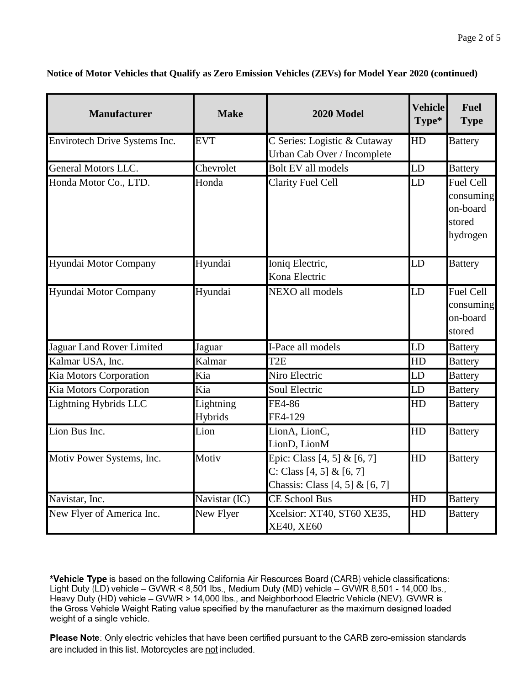| <b>Manufacturer</b>           | <b>Make</b>          | <b>2020 Model</b>                                                                                 | <b>Vehicle</b><br>Type* | <b>Fuel</b><br><b>Type</b>                               |
|-------------------------------|----------------------|---------------------------------------------------------------------------------------------------|-------------------------|----------------------------------------------------------|
| Envirotech Drive Systems Inc. | <b>EVT</b>           | C Series: Logistic & Cutaway<br>Urban Cab Over / Incomplete                                       | HD                      | <b>Battery</b>                                           |
| General Motors LLC.           | Chevrolet            | <b>Bolt EV all models</b>                                                                         | LD                      | <b>Battery</b>                                           |
| Honda Motor Co., LTD.         | Honda                | <b>Clarity Fuel Cell</b>                                                                          | LD                      | Fuel Cell<br>consuming<br>on-board<br>stored<br>hydrogen |
| Hyundai Motor Company         | Hyundai              | Ioniq Electric,<br>Kona Electric                                                                  | LD                      | <b>Battery</b>                                           |
| Hyundai Motor Company         | Hyundai              | NEXO all models                                                                                   | LD                      | <b>Fuel Cell</b><br>consuming<br>on-board<br>stored      |
| Jaguar Land Rover Limited     | Jaguar               | I-Pace all models                                                                                 | LD                      | <b>Battery</b>                                           |
| Kalmar USA, Inc.              | Kalmar               | T <sub>2</sub> E                                                                                  | HD                      | <b>Battery</b>                                           |
| Kia Motors Corporation        | Kia                  | Niro Electric                                                                                     | LD                      | <b>Battery</b>                                           |
| Kia Motors Corporation        | Kia                  | Soul Electric                                                                                     | LD                      | <b>Battery</b>                                           |
| <b>Lightning Hybrids LLC</b>  | Lightning<br>Hybrids | FE4-86<br>FE4-129                                                                                 | HD                      | <b>Battery</b>                                           |
| Lion Bus Inc.                 | Lion                 | LionA, Lion $\overline{C}$ ,<br>LionD, LionM                                                      | HD                      | <b>Battery</b>                                           |
| Motiv Power Systems, Inc.     | Motiv                | Epic: Class $[4, 5]$ & $[6, 7]$<br>C: Class $[4, 5]$ & $[6, 7]$<br>Chassis: Class [4, 5] & [6, 7] | HD                      | <b>Battery</b>                                           |
| Navistar, Inc.                | Navistar (IC)        | <b>CE School Bus</b>                                                                              | HD                      | <b>Battery</b>                                           |
| New Flyer of America Inc.     | New Flyer            | Xcelsior: XT40, ST60 XE35,<br>XE40, XE60                                                          | HD                      | <b>Battery</b>                                           |

\*Vehicle Type is based on the following California Air Resources Board (CARB) vehicle classifications: Light Duty (LD) vehicle - GVWR < 8,501 lbs., Medium Duty (MD) vehicle - GVWR 8,501 - 14,000 lbs., Heavy Duty (HD) vehicle - GVWR > 14,000 lbs., and Neighborhood Electric Vehicle (NEV). GVWR is the Gross Vehicle Weight Rating value specified by the manufacturer as the maximum designed loaded weight of a single vehicle.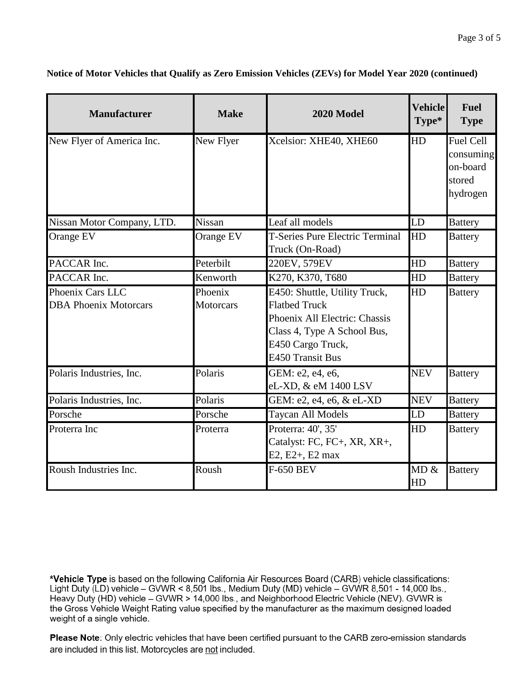| <b>Manufacturer</b>                              | <b>Make</b>                 | <b>2020 Model</b>                                                                                                                                              | <b>Vehicle</b><br>Type* | <b>Fuel</b><br><b>Type</b>                                      |
|--------------------------------------------------|-----------------------------|----------------------------------------------------------------------------------------------------------------------------------------------------------------|-------------------------|-----------------------------------------------------------------|
| New Flyer of America Inc.                        | New Flyer                   | Xcelsior: XHE40, XHE60                                                                                                                                         | HD                      | <b>Fuel Cell</b><br>consuming<br>on-board<br>stored<br>hydrogen |
| Nissan Motor Company, LTD.                       | Nissan                      | Leaf all models                                                                                                                                                | LD                      | <b>Battery</b>                                                  |
| Orange EV                                        | Orange EV                   | <b>T-Series Pure Electric Terminal</b><br>Truck (On-Road)                                                                                                      | HD                      | <b>Battery</b>                                                  |
| PACCAR Inc.                                      | Peterbilt                   | 220EV, 579EV                                                                                                                                                   | HD                      | <b>Battery</b>                                                  |
| PACCAR Inc.                                      | Kenworth                    | K270, K370, T680                                                                                                                                               | HD                      | <b>Battery</b>                                                  |
| Phoenix Cars LLC<br><b>DBA Phoenix Motorcars</b> | Phoenix<br><b>Motorcars</b> | E450: Shuttle, Utility Truck,<br><b>Flatbed Truck</b><br>Phoenix All Electric: Chassis<br>Class 4, Type A School Bus,<br>E450 Cargo Truck,<br>E450 Transit Bus | HD                      | <b>Battery</b>                                                  |
| Polaris Industries, Inc.                         | Polaris                     | GEM: e2, e4, e6,<br>eL-XD, & eM 1400 LSV                                                                                                                       | <b>NEV</b>              | <b>Battery</b>                                                  |
| Polaris Industries, Inc.                         | Polaris                     | GEM: e2, e4, e6, & eL-XD                                                                                                                                       | <b>NEV</b>              | <b>Battery</b>                                                  |
| Porsche                                          | Porsche                     | Taycan All Models                                                                                                                                              | LD                      | <b>Battery</b>                                                  |
| Proterra Inc                                     | Proterra                    | Proterra: 40', 35'<br>Catalyst: FC, FC+, XR, XR+,<br>E2, E2+, E2 max                                                                                           | HD                      | <b>Battery</b>                                                  |
| Roush Industries Inc.                            | Roush                       | <b>F-650 BEV</b>                                                                                                                                               | MD &<br>HD              | <b>Battery</b>                                                  |

\*Vehicle Type is based on the following California Air Resources Board (CARB) vehicle classifications: Light Duty (LD) vehicle - GVWR < 8,501 lbs., Medium Duty (MD) vehicle - GVWR 8,501 - 14,000 lbs., Heavy Duty (HD) vehicle - GVWR > 14,000 lbs., and Neighborhood Electric Vehicle (NEV). GVWR is the Gross Vehicle Weight Rating value specified by the manufacturer as the maximum designed loaded weight of a single vehicle.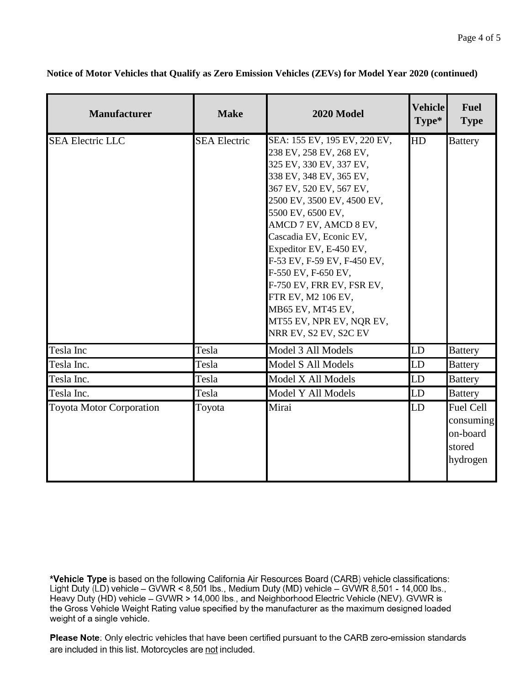| <b>Manufacturer</b>             | <b>Make</b>         | 2020 Model                                                                                                                                                                                                                                                                                                                                                                                                                                                    | Vehicle<br>Type* | <b>Fuel</b><br><b>Type</b>                                      |
|---------------------------------|---------------------|---------------------------------------------------------------------------------------------------------------------------------------------------------------------------------------------------------------------------------------------------------------------------------------------------------------------------------------------------------------------------------------------------------------------------------------------------------------|------------------|-----------------------------------------------------------------|
| <b>SEA Electric LLC</b>         | <b>SEA Electric</b> | SEA: 155 EV, 195 EV, 220 EV,<br>238 EV, 258 EV, 268 EV,<br>325 EV, 330 EV, 337 EV,<br>338 EV, 348 EV, 365 EV,<br>367 EV, 520 EV, 567 EV,<br>2500 EV, 3500 EV, 4500 EV,<br>5500 EV, 6500 EV,<br>AMCD 7 EV, AMCD 8 EV,<br>Cascadia EV, Econic EV,<br>Expeditor EV, E-450 EV,<br>F-53 EV, F-59 EV, F-450 EV,<br>F-550 EV, F-650 EV,<br>F-750 EV, FRR EV, FSR EV,<br>FTR EV, M2 106 EV,<br>MB65 EV, MT45 EV,<br>MT55 EV, NPR EV, NQR EV,<br>NRR EV, S2 EV, S2C EV | HD               | <b>Battery</b>                                                  |
| Tesla Inc                       | Tesla               | Model 3 All Models                                                                                                                                                                                                                                                                                                                                                                                                                                            | LD               | <b>Battery</b>                                                  |
| Tesla Inc.                      | Tesla               | Model S All Models                                                                                                                                                                                                                                                                                                                                                                                                                                            | LD               | <b>Battery</b>                                                  |
| Tesla Inc.                      | Tesla               | Model X All Models                                                                                                                                                                                                                                                                                                                                                                                                                                            | LD               | <b>Battery</b>                                                  |
| Tesla Inc.                      | Tesla               | Model Y All Models                                                                                                                                                                                                                                                                                                                                                                                                                                            | LD               | <b>Battery</b>                                                  |
| <b>Toyota Motor Corporation</b> | Toyota              | Mirai                                                                                                                                                                                                                                                                                                                                                                                                                                                         | LD               | <b>Fuel Cell</b><br>consuming<br>on-board<br>stored<br>hydrogen |

\*Vehicle Type is based on the following California Air Resources Board (CARB) vehicle classifications: Light Duty (LD) vehicle - GVWR < 8,501 lbs., Medium Duty (MD) vehicle - GVWR 8,501 - 14,000 lbs., Heavy Duty (HD) vehicle - GVWR > 14,000 lbs., and Neighborhood Electric Vehicle (NEV). GVWR is the Gross Vehicle Weight Rating value specified by the manufacturer as the maximum designed loaded weight of a single vehicle.